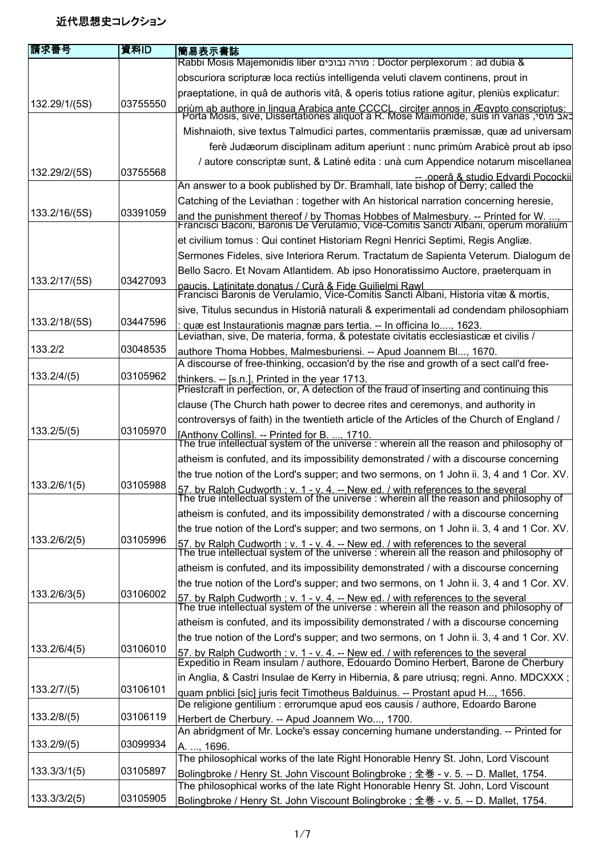## 近代思想史コレクション

| 請求番号          | 資料ID     | 簡易表示書誌                                                                                                                                                                                 |
|---------------|----------|----------------------------------------------------------------------------------------------------------------------------------------------------------------------------------------|
|               |          | Rabbi Mosis Majemonidis liber מורה נבוכים: Doctor perplexorum : ad dubia &                                                                                                             |
|               |          | obscuriora scripturæ loca rectiùs intelligenda veluti clavem continens, prout in                                                                                                       |
|               |          | praeptatione, in quâ de authoris vitâ, & operis totius ratione agitur, pleniùs explicatur:                                                                                             |
| 132.29/1/(5S) | 03755550 | <u>priùm ab authore in lingua Arabica ante CCCCL, circiter annos in Ægypto conscriptus:</u><br>באב מוסי, Porta Mosis, sive, Dissertationes aliquot à R. Mose Maimonide, suis in varias |
|               |          |                                                                                                                                                                                        |
|               |          | Mishnaioth, sive textus Talmudici partes, commentariis præmissæ, quæ ad universam                                                                                                      |
|               |          | ferè Judæorum disciplinam aditum aperiunt : nunc primùm Arabicè prout ab ipso                                                                                                          |
|               |          | / autore conscriptæ sunt, & Latinè edita : unà cum Appendice notarum miscellanea                                                                                                       |
| 132.29/2/(5S) | 03755568 | -- .operâ & studio Edvardi Pocockii<br>An answer to a book published by Dr. Bramhall, late bishop of Derry; called the                                                                 |
|               |          | Catching of the Leviathan: together with An historical narration concerning heresie,                                                                                                   |
| 133.2/16/(5S) | 03391059 |                                                                                                                                                                                        |
|               |          | and the punishment thereof / by Thomas Hobbes of Malmesbury. -- Printed for W. ,<br>Francisci Baconi, Baronis De Verulamio, Vice-Comitis Sancti Albani, operum moralium                |
|               |          | et civilium tomus : Qui continet Historiam Regni Henrici Septimi, Regis Angliæ.                                                                                                        |
|               |          | Sermones Fideles, sive Interiora Rerum. Tractatum de Sapienta Veterum. Dialogum de                                                                                                     |
| 133.2/17/(5S) | 03427093 | Bello Sacro. Et Novam Atlantidem. Ab ipso Honoratissimo Auctore, praeterquam in                                                                                                        |
|               |          | naucis. Latinitate donatus / Curâ & Fide Guilielmi Rawl<br>Francisci Baronis de Verulamio, Vice-Comitis Sancti Albani, Historia vitæ & mortis,                                         |
|               |          | sive, Titulus secundus in Historiâ naturali & experimentali ad condendam philosophiam                                                                                                  |
| 133.2/18/(5S) | 03447596 |                                                                                                                                                                                        |
|               |          | <u>: quæ est Instaurationis magnæ pars tertia. -- In officina lo, 1623.</u><br>Leviathan, sive, De materia, forma, & potestate civitatis ecclesiasticæ et civilis /                    |
| 133.2/2       | 03048535 | authore Thoma Hobbes, Malmesburiensi. -- Apud Joannem Bl, 1670.                                                                                                                        |
|               |          | A discourse of free-thinking, occasion'd by the rise and growth of a sect call'd free-                                                                                                 |
| 133.2/4/(5)   | 03105962 | thinkers. -- [s.n.], Printed in the year 1713.                                                                                                                                         |
|               |          | Priestcraft in perfection, or, A detection of the fraud of inserting and continuing this                                                                                               |
|               |          | clause (The Church hath power to decree rites and ceremonys, and authority in                                                                                                          |
|               |          | controversys of faith) in the twentieth article of the Articles of the Church of England /                                                                                             |
| 133.2/5/(5)   | 03105970 | [Anthony Collins]. -- Printed for B. , 1710.<br>The true intellectual system of the universe : wherein all the reason and philosophy of                                                |
|               |          | atheism is confuted, and its impossibility demonstrated / with a discourse concerning                                                                                                  |
|               |          | the true notion of the Lord's supper; and two sermons, on 1 John ii. 3, 4 and 1 Cor. XV.                                                                                               |
| 133.2/6/1(5)  | 03105988 | 57. by Ralph Cudworth : v. 1 - v. 4. -- New ed. / with references to the several                                                                                                       |
|               |          | The true intellectual system of the universe : wherein all the reason and philosophy of                                                                                                |
|               |          | atheism is confuted, and its impossibility demonstrated / with a discourse concerning                                                                                                  |
|               | 03105996 | the true notion of the Lord's supper; and two sermons, on 1 John ii. 3, 4 and 1 Cor. XV.                                                                                               |
| 133.2/6/2(5)  |          | 57. by Ralph Cudworth ; v. 1 - v. 4. -- New ed. / with references to the several The true intellectual system of the universe : wherein all the reason and philosophy of               |
|               |          | atheism is confuted, and its impossibility demonstrated / with a discourse concerning                                                                                                  |
|               |          | the true notion of the Lord's supper; and two sermons, on 1 John ii. 3, 4 and 1 Cor. XV.                                                                                               |
| 133.2/6/3(5)  | 03106002 |                                                                                                                                                                                        |
|               |          | 57. by Ralph Cudworth : v. 1 - v. 4. -- New ed. / with references to the several The true intellectual system of the universe : wherein all the reason and philosophy of               |
|               |          | atheism is confuted, and its impossibility demonstrated / with a discourse concerning                                                                                                  |
|               |          | the true notion of the Lord's supper; and two sermons, on 1 John ii. 3, 4 and 1 Cor. XV.                                                                                               |
| 133.2/6/4(5)  | 03106010 | 57. by Ralph Cudworth : v. 1 - v. 4. -- New ed. / with references to the several<br>Expeditio in Ream insulam / authore, Edouardo Domino Herbert, Barone de Cherbury                   |
|               |          |                                                                                                                                                                                        |
| 133.2/7/(5)   | 03106101 | in Anglia, & Castri Insulae de Kerry in Hibernia, & pare utriusq; regni. Anno. MDCXXX;                                                                                                 |
|               |          | quam pnblici [sic] juris fecit Timotheus Balduinus. -- Prostant apud H, 1656.<br>De religione gentilium : errorumque apud eos causis / authore, Edoardo Barone                         |
| 133.2/8/(5)   | 03106119 | Herbert de Cherbury. -- Apud Joannem Wo, 1700.                                                                                                                                         |
|               |          | An abridgment of Mr. Locke's essay concerning humane understanding. -- Printed for                                                                                                     |
| 133.2/9/(5)   | 03099934 | A. , 1696.                                                                                                                                                                             |
|               |          | The philosophical works of the late Right Honorable Henry St. John, Lord Viscount                                                                                                      |
| 133.3/3/1(5)  | 03105897 | Bolingbroke / Henry St. John Viscount Bolingbroke; 全巻 - v. 5. -- D. Mallet, 1754.                                                                                                      |
|               |          | The philosophical works of the late Right Honorable Henry St. John, Lord Viscount                                                                                                      |
| 133.3/3/2(5)  | 03105905 | Bolingbroke / Henry St. John Viscount Bolingbroke; 全巻 - v. 5. -- D. Mallet, 1754.                                                                                                      |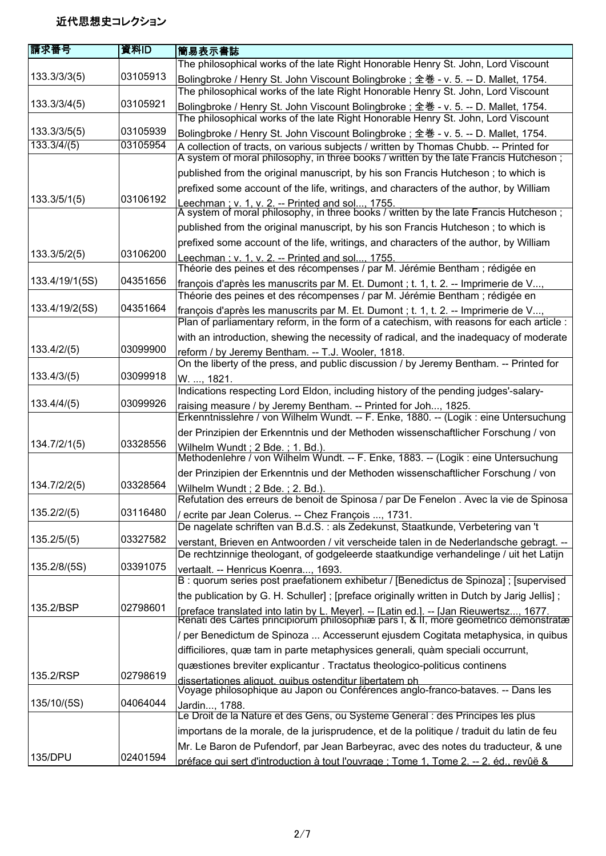## 近代思想史コレクション

| 請求番号           | 資料ID     | 簡易表示書誌                                                                                                                                                                         |
|----------------|----------|--------------------------------------------------------------------------------------------------------------------------------------------------------------------------------|
|                |          | The philosophical works of the late Right Honorable Henry St. John, Lord Viscount                                                                                              |
| 133.3/3/3(5)   | 03105913 | Bolingbroke / Henry St. John Viscount Bolingbroke; 全巻 - v. 5. -- D. Mallet, 1754.                                                                                              |
|                |          | The philosophical works of the late Right Honorable Henry St. John, Lord Viscount                                                                                              |
| 133.3/3/4(5)   | 03105921 | Bolingbroke / Henry St. John Viscount Bolingbroke; 全巻 - v. 5. -- D. Mallet, 1754.                                                                                              |
|                |          | The philosophical works of the late Right Honorable Henry St. John, Lord Viscount                                                                                              |
| 133.3/3/5(5)   | 03105939 | Bolingbroke / Henry St. John Viscount Bolingbroke; 全巻 - v. 5. -- D. Mallet, 1754.                                                                                              |
| 133.3/4/(5)    | 03105954 | A collection of tracts, on various subjects / written by Thomas Chubb. -- Printed for                                                                                          |
|                |          | A system of moral philosophy, in three books / written by the late Francis Hutcheson;                                                                                          |
|                |          | published from the original manuscript, by his son Francis Hutcheson; to which is                                                                                              |
|                |          | prefixed some account of the life, writings, and characters of the author, by William                                                                                          |
| 133.3/5/1(5)   | 03106192 | Leechman ; v. 1, v. 2. -- Printed and sol, 1755.<br>A system of moral philosophy, in three books / written by the late Francis Hutcheson ;                                     |
|                |          | published from the original manuscript, by his son Francis Hutcheson; to which is                                                                                              |
|                |          |                                                                                                                                                                                |
| 133.3/5/2(5)   | 03106200 | prefixed some account of the life, writings, and characters of the author, by William                                                                                          |
|                |          | Leechman ; v. 1, v. 2. -- Printed and sol, 1755.<br>Théorie des peines et des récompenses / par M. Jérémie Bentham ; rédigée en                                                |
| 133.4/19/1(5S) | 04351656 | françois d'après les manuscrits par M. Et. Dumont ; t. 1, t. 2. -- Imprimerie de V,                                                                                            |
|                |          | Théorie des peines et des récompenses / par M. Jérémie Bentham ; rédigée en                                                                                                    |
| 133.4/19/2(5S) | 04351664 | françois d'après les manuscrits par M. Et. Dumont ; t. 1, t. 2. -- Imprimerie de V,                                                                                            |
|                |          | Plan of parliamentary reform, in the form of a catechism, with reasons for each article :                                                                                      |
|                |          | with an introduction, shewing the necessity of radical, and the inadequacy of moderate                                                                                         |
| 133.4/2/(5)    | 03099900 | reform / by Jeremy Bentham. -- T.J. Wooler, 1818.                                                                                                                              |
|                |          | On the liberty of the press, and public discussion / by Jeremy Bentham. -- Printed for                                                                                         |
| 133.4/3/(5)    | 03099918 | W. , 1821.                                                                                                                                                                     |
| 133.4/4/(5)    | 03099926 | Indications respecting Lord Eldon, including history of the pending judges'-salary-                                                                                            |
|                |          | raising measure / by Jeremy Bentham. -- Printed for Joh, 1825.<br>Erkenntnisslehre / von Wilhelm Wundt. -- F. Enke, 1880. -- (Logik : eine Untersuchung                        |
|                |          | der Prinzipien der Erkenntnis und der Methoden wissenschaftlicher Forschung / von                                                                                              |
| 134.7/2/1(5)   | 03328556 | Wilhelm Wundt; 2 Bde.; 1. Bd.).                                                                                                                                                |
|                |          | Methodenlehre / von Wilhelm Wundt. -- F. Enke, 1883. -- (Logik : eine Untersuchung                                                                                             |
|                |          | der Prinzipien der Erkenntnis und der Methoden wissenschaftlicher Forschung / von                                                                                              |
| 134.7/2/2(5)   | 03328564 | Wilhelm Wundt; 2 Bde.; 2. Bd.).                                                                                                                                                |
|                |          | Refutation des erreurs de benoit de Spinosa / par De Fenelon. Avec la vie de Spinosa                                                                                           |
| 135.2/2/(5)    | 03116480 | / ecrite par Jean Colerus. -- Chez François , 1731.                                                                                                                            |
|                |          | De nagelate schriften van B.d.S. : als Zedekunst, Staatkunde, Verbetering van 't                                                                                               |
| 135.2/5/(5)    | 03327582 | verstant, Brieven en Antwoorden / vit verscheide talen in de Nederlandsche gebragt. --                                                                                         |
| 135.2/8/(5S)   |          | De rechtzinnige theologant, of godgeleerde staatkundige verhandelinge / uit het Latijn                                                                                         |
|                | 03391075 | vertaalt. -- Henricus Koenra, 1693.<br>B : quorum series post praefationem exhibetur / [Benedictus de Spinoza] ; [supervised                                                   |
|                |          | the publication by G. H. Schuller]; [preface originally written in Dutch by Jarig Jellis];                                                                                     |
| 135.2/BSP      | 02798601 |                                                                                                                                                                                |
|                |          | [preface translated into latin by L. Meyer]. -- [Latin ed.]. -- [Jan Rieuwertsz, 1677.<br>Renati des Cartes principiorum philosophiæ pars I, & II, more geometrico demonstratæ |
|                |          | / per Benedictum de Spinoza  Accesserunt ejusdem Cogitata metaphysica, in quibus                                                                                               |
|                |          | difficiliores, quæ tam in parte metaphysices generali, quàm speciali occurrunt,                                                                                                |
|                |          | quæstiones breviter explicantur. Tractatus theologico-politicus continens                                                                                                      |
| 135.2/RSP      | 02798619 | dissertationes aliquot, quibus ostenditur libertatem ph                                                                                                                        |
|                |          | Voyage philosophique au Japon ou Conférences anglo-franco-bataves. -- Dans les                                                                                                 |
| 135/10/(5S)    | 04064044 | Jardin, 1788.                                                                                                                                                                  |
|                |          | Le Droit de la Nature et des Gens, ou Systeme General : des Principes les plus                                                                                                 |
|                |          | importans de la morale, de la jurisprudence, et de la politique / traduit du latin de feu                                                                                      |
| 135/DPU        | 02401594 | Mr. Le Baron de Pufendorf, par Jean Barbeyrac, avec des notes du traducteur, & une                                                                                             |
|                |          | préface qui sert d'introduction à tout l'ouvrage : Tome 1. Tome 2. -- 2. éd., revûë &                                                                                          |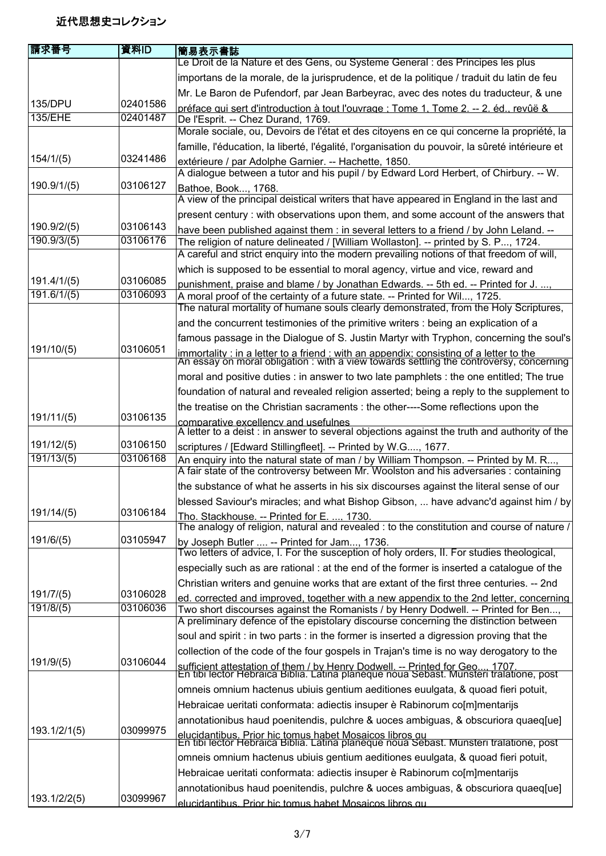| Le Droit de la Nature et des Gens, ou Systeme General : des Principes les plus<br>importans de la morale, de la jurisprudence, et de la politique / traduit du latin de feu<br>Mr. Le Baron de Pufendorf, par Jean Barbeyrac, avec des notes du traducteur, & une<br>135/DPU<br>02401586<br>préface qui sert d'introduction à tout l'ouvrage : Tome 1. Tome 2. -- 2. éd. revûë &<br><b>135/EHE</b><br>02401487<br>De l'Esprit. -- Chez Durand, 1769.<br>Morale sociale, ou, Devoirs de l'état et des citoyens en ce qui concerne la propriété, la<br>famille, l'éducation, la liberté, l'égalité, l'organisation du pouvoir, la sûreté intérieure et<br>03241486<br>154/1/(5)<br>extérieure / par Adolphe Garnier. -- Hachette, 1850.<br>A dialogue between a tutor and his pupil / by Edward Lord Herbert, of Chirbury. -- W.<br>03106127<br>190.9/1/(5)<br>Bathoe, Book, 1768.<br>A view of the principal deistical writers that have appeared in England in the last and<br>present century : with observations upon them, and some account of the answers that<br>190.9/2/(5)<br>03106143<br>have been published against them : in several letters to a friend / by John Leland. --<br>190.9/3/(5)<br>03106176<br>The religion of nature delineated / [William Wollaston]. -- printed by S. P, 1724.<br>A careful and strict enquiry into the modern prevailing notions of that freedom of will,<br>which is supposed to be essential to moral agency, virtue and vice, reward and<br>191.4/1/(5)<br>03106085<br>punishment, praise and blame / by Jonathan Edwards. -- 5th ed. -- Printed for J.<br>191.6/1/(5)<br>03106093<br>A moral proof of the certainty of a future state. -- Printed for Wil, 1725.<br>The natural mortality of humane souls clearly demonstrated, from the Holy Scriptures,<br>and the concurrent testimonies of the primitive writers : being an explication of a<br>191/10/(5)<br>03106051<br>immortality : in a letter to a friend : with an appendix: consisting of a letter to the<br>An essay on moral obligation : with a view towards settling the controversy, concerning<br>moral and positive duties : in answer to two late pamphlets : the one entitled; The true<br>foundation of natural and revealed religion asserted; being a reply to the supplement to<br>the treatise on the Christian sacraments : the other----Some reflections upon the<br>191/11/(5)<br>03106135<br>comparative excellency and usefulnes<br>A letter to a deist : in answer to several objections against the truth and authority of the<br>191/12/(5)<br>03106150<br>scriptures / [Edward Stillingfleet]. -- Printed by W.G, 1677.<br>191/13/(5)<br>03106168<br>An enquiry into the natural state of man / by William Thompson. -- Printed by M. R,<br>A fair state of the controversy between Mr. Woolston and his adversaries : containing<br>the substance of what he asserts in his six discourses against the literal sense of our<br>191/14/(5)<br>03106184<br>Tho. Stackhouse. -- Printed for E. , 1730.<br>191/6/(5)<br>03105947<br>by Joseph Butler  -- Printed for Jam, 1736.<br>Two letters of advice, I. For the susception of holy orders, II. For studies theological,<br>especially such as are rational: at the end of the former is inserted a catalogue of the<br>Christian writers and genuine works that are extant of the first three centuries. -- 2nd<br>191/7/(5)<br>03106028<br>191/8/(5)<br>03106036<br>Two short discourses against the Romanists / by Henry Dodwell. -- Printed for Ben,<br>A preliminary defence of the epistolary discourse concerning the distinction between<br>soul and spirit : in two parts : in the former is inserted a digression proving that the<br>collection of the code of the four gospels in Trajan's time is no way derogatory to the<br>191/9/(5)<br>03106044<br>sufficient attestation of them / by Henry Dodwell. -- Printed for Geo, 1707.<br>En tibi lector Hebraica Biblia. Latina planéque noua Sebast. Munsteri tralatione, post<br>omneis omnium hactenus ubiuis gentium aeditiones euulgata, & quoad fieri potuit,<br>Hebraicae ueritati conformata: adiectis insuper è Rabinorum co[m]mentarijs<br>annotationibus haud poenitendis, pulchre & uoces ambiguas, & obscuriora quaeq[ue]<br>193.1/2/1(5)<br>03099975<br>elucidantibus. Prior hic tomus habet Mosaicos libros qu<br>En tibi lector Hebraica Biblia. Latina planéque noua Sebast. Munsteri tralatione, post<br>omneis omnium hactenus ubiuis gentium aeditiones euulgata, & quoad fieri potuit,<br>Hebraicae ueritati conformata: adiectis insuper è Rabinorum co[m]mentarijs<br>annotationibus haud poenitendis, pulchre & uoces ambiguas, & obscuriora quaeq[ue] | 請求番号         | 資料ID     | 簡易表示書誌 |
|------------------------------------------------------------------------------------------------------------------------------------------------------------------------------------------------------------------------------------------------------------------------------------------------------------------------------------------------------------------------------------------------------------------------------------------------------------------------------------------------------------------------------------------------------------------------------------------------------------------------------------------------------------------------------------------------------------------------------------------------------------------------------------------------------------------------------------------------------------------------------------------------------------------------------------------------------------------------------------------------------------------------------------------------------------------------------------------------------------------------------------------------------------------------------------------------------------------------------------------------------------------------------------------------------------------------------------------------------------------------------------------------------------------------------------------------------------------------------------------------------------------------------------------------------------------------------------------------------------------------------------------------------------------------------------------------------------------------------------------------------------------------------------------------------------------------------------------------------------------------------------------------------------------------------------------------------------------------------------------------------------------------------------------------------------------------------------------------------------------------------------------------------------------------------------------------------------------------------------------------------------------------------------------------------------------------------------------------------------------------------------------------------------------------------------------------------------------------------------------------------------------------------------------------------------------------------------------------------------------------------------------------------------------------------------------------------------------------------------------------------------------------------------------------------------------------------------------------------------------------------------------------------------------------------------------------------------------------------------------------------------------------------------------------------------------------------------------------------------------------------------------------------------------------------------------------------------------------------------------------------------------------------------------------------------------------------------------------------------------------------------------------------------------------------------------------------------------------------------------------------------------------------------------------------------------------------------------------------------------------------------------------------------------------------------------------------------------------------------------------------------------------------------------------------------------------------------------------------------------------------------------------------------------------------------------------------------------------------------------------------------------------------------------------------------------------------------------------------------------------------------------------------------------------------------------------------------------------------------------------------------------------------------------------------------------------------------------------------------------------------------------------------------------------------------------------------------------------------------------------------------------------------------------------------------------------------------------------------------------------------------------------------------------------------------------------------------------------------|--------------|----------|--------|
|                                                                                                                                                                                                                                                                                                                                                                                                                                                                                                                                                                                                                                                                                                                                                                                                                                                                                                                                                                                                                                                                                                                                                                                                                                                                                                                                                                                                                                                                                                                                                                                                                                                                                                                                                                                                                                                                                                                                                                                                                                                                                                                                                                                                                                                                                                                                                                                                                                                                                                                                                                                                                                                                                                                                                                                                                                                                                                                                                                                                                                                                                                                                                                                                                                                                                                                                                                                                                                                                                                                                                                                                                                                                                                                                                                                                                                                                                                                                                                                                                                                                                                                                                                                                                                                                                                                                                                                                                                                                                                                                                                                                                                                                                                                              |              |          |        |
|                                                                                                                                                                                                                                                                                                                                                                                                                                                                                                                                                                                                                                                                                                                                                                                                                                                                                                                                                                                                                                                                                                                                                                                                                                                                                                                                                                                                                                                                                                                                                                                                                                                                                                                                                                                                                                                                                                                                                                                                                                                                                                                                                                                                                                                                                                                                                                                                                                                                                                                                                                                                                                                                                                                                                                                                                                                                                                                                                                                                                                                                                                                                                                                                                                                                                                                                                                                                                                                                                                                                                                                                                                                                                                                                                                                                                                                                                                                                                                                                                                                                                                                                                                                                                                                                                                                                                                                                                                                                                                                                                                                                                                                                                                                              |              |          |        |
| famous passage in the Dialogue of S. Justin Martyr with Tryphon, concerning the soul's<br>blessed Saviour's miracles; and what Bishop Gibson,  have advanc'd against him / by<br>The analogy of religion, natural and revealed : to the constitution and course of nature /<br>ed. corrected and improved. together with a new appendix to the 2nd letter, concerning                                                                                                                                                                                                                                                                                                                                                                                                                                                                                                                                                                                                                                                                                                                                                                                                                                                                                                                                                                                                                                                                                                                                                                                                                                                                                                                                                                                                                                                                                                                                                                                                                                                                                                                                                                                                                                                                                                                                                                                                                                                                                                                                                                                                                                                                                                                                                                                                                                                                                                                                                                                                                                                                                                                                                                                                                                                                                                                                                                                                                                                                                                                                                                                                                                                                                                                                                                                                                                                                                                                                                                                                                                                                                                                                                                                                                                                                                                                                                                                                                                                                                                                                                                                                                                                                                                                                                        |              |          |        |
|                                                                                                                                                                                                                                                                                                                                                                                                                                                                                                                                                                                                                                                                                                                                                                                                                                                                                                                                                                                                                                                                                                                                                                                                                                                                                                                                                                                                                                                                                                                                                                                                                                                                                                                                                                                                                                                                                                                                                                                                                                                                                                                                                                                                                                                                                                                                                                                                                                                                                                                                                                                                                                                                                                                                                                                                                                                                                                                                                                                                                                                                                                                                                                                                                                                                                                                                                                                                                                                                                                                                                                                                                                                                                                                                                                                                                                                                                                                                                                                                                                                                                                                                                                                                                                                                                                                                                                                                                                                                                                                                                                                                                                                                                                                              |              |          |        |
|                                                                                                                                                                                                                                                                                                                                                                                                                                                                                                                                                                                                                                                                                                                                                                                                                                                                                                                                                                                                                                                                                                                                                                                                                                                                                                                                                                                                                                                                                                                                                                                                                                                                                                                                                                                                                                                                                                                                                                                                                                                                                                                                                                                                                                                                                                                                                                                                                                                                                                                                                                                                                                                                                                                                                                                                                                                                                                                                                                                                                                                                                                                                                                                                                                                                                                                                                                                                                                                                                                                                                                                                                                                                                                                                                                                                                                                                                                                                                                                                                                                                                                                                                                                                                                                                                                                                                                                                                                                                                                                                                                                                                                                                                                                              |              |          |        |
|                                                                                                                                                                                                                                                                                                                                                                                                                                                                                                                                                                                                                                                                                                                                                                                                                                                                                                                                                                                                                                                                                                                                                                                                                                                                                                                                                                                                                                                                                                                                                                                                                                                                                                                                                                                                                                                                                                                                                                                                                                                                                                                                                                                                                                                                                                                                                                                                                                                                                                                                                                                                                                                                                                                                                                                                                                                                                                                                                                                                                                                                                                                                                                                                                                                                                                                                                                                                                                                                                                                                                                                                                                                                                                                                                                                                                                                                                                                                                                                                                                                                                                                                                                                                                                                                                                                                                                                                                                                                                                                                                                                                                                                                                                                              |              |          |        |
|                                                                                                                                                                                                                                                                                                                                                                                                                                                                                                                                                                                                                                                                                                                                                                                                                                                                                                                                                                                                                                                                                                                                                                                                                                                                                                                                                                                                                                                                                                                                                                                                                                                                                                                                                                                                                                                                                                                                                                                                                                                                                                                                                                                                                                                                                                                                                                                                                                                                                                                                                                                                                                                                                                                                                                                                                                                                                                                                                                                                                                                                                                                                                                                                                                                                                                                                                                                                                                                                                                                                                                                                                                                                                                                                                                                                                                                                                                                                                                                                                                                                                                                                                                                                                                                                                                                                                                                                                                                                                                                                                                                                                                                                                                                              |              |          |        |
|                                                                                                                                                                                                                                                                                                                                                                                                                                                                                                                                                                                                                                                                                                                                                                                                                                                                                                                                                                                                                                                                                                                                                                                                                                                                                                                                                                                                                                                                                                                                                                                                                                                                                                                                                                                                                                                                                                                                                                                                                                                                                                                                                                                                                                                                                                                                                                                                                                                                                                                                                                                                                                                                                                                                                                                                                                                                                                                                                                                                                                                                                                                                                                                                                                                                                                                                                                                                                                                                                                                                                                                                                                                                                                                                                                                                                                                                                                                                                                                                                                                                                                                                                                                                                                                                                                                                                                                                                                                                                                                                                                                                                                                                                                                              |              |          |        |
|                                                                                                                                                                                                                                                                                                                                                                                                                                                                                                                                                                                                                                                                                                                                                                                                                                                                                                                                                                                                                                                                                                                                                                                                                                                                                                                                                                                                                                                                                                                                                                                                                                                                                                                                                                                                                                                                                                                                                                                                                                                                                                                                                                                                                                                                                                                                                                                                                                                                                                                                                                                                                                                                                                                                                                                                                                                                                                                                                                                                                                                                                                                                                                                                                                                                                                                                                                                                                                                                                                                                                                                                                                                                                                                                                                                                                                                                                                                                                                                                                                                                                                                                                                                                                                                                                                                                                                                                                                                                                                                                                                                                                                                                                                                              |              |          |        |
|                                                                                                                                                                                                                                                                                                                                                                                                                                                                                                                                                                                                                                                                                                                                                                                                                                                                                                                                                                                                                                                                                                                                                                                                                                                                                                                                                                                                                                                                                                                                                                                                                                                                                                                                                                                                                                                                                                                                                                                                                                                                                                                                                                                                                                                                                                                                                                                                                                                                                                                                                                                                                                                                                                                                                                                                                                                                                                                                                                                                                                                                                                                                                                                                                                                                                                                                                                                                                                                                                                                                                                                                                                                                                                                                                                                                                                                                                                                                                                                                                                                                                                                                                                                                                                                                                                                                                                                                                                                                                                                                                                                                                                                                                                                              |              |          |        |
|                                                                                                                                                                                                                                                                                                                                                                                                                                                                                                                                                                                                                                                                                                                                                                                                                                                                                                                                                                                                                                                                                                                                                                                                                                                                                                                                                                                                                                                                                                                                                                                                                                                                                                                                                                                                                                                                                                                                                                                                                                                                                                                                                                                                                                                                                                                                                                                                                                                                                                                                                                                                                                                                                                                                                                                                                                                                                                                                                                                                                                                                                                                                                                                                                                                                                                                                                                                                                                                                                                                                                                                                                                                                                                                                                                                                                                                                                                                                                                                                                                                                                                                                                                                                                                                                                                                                                                                                                                                                                                                                                                                                                                                                                                                              |              |          |        |
|                                                                                                                                                                                                                                                                                                                                                                                                                                                                                                                                                                                                                                                                                                                                                                                                                                                                                                                                                                                                                                                                                                                                                                                                                                                                                                                                                                                                                                                                                                                                                                                                                                                                                                                                                                                                                                                                                                                                                                                                                                                                                                                                                                                                                                                                                                                                                                                                                                                                                                                                                                                                                                                                                                                                                                                                                                                                                                                                                                                                                                                                                                                                                                                                                                                                                                                                                                                                                                                                                                                                                                                                                                                                                                                                                                                                                                                                                                                                                                                                                                                                                                                                                                                                                                                                                                                                                                                                                                                                                                                                                                                                                                                                                                                              |              |          |        |
|                                                                                                                                                                                                                                                                                                                                                                                                                                                                                                                                                                                                                                                                                                                                                                                                                                                                                                                                                                                                                                                                                                                                                                                                                                                                                                                                                                                                                                                                                                                                                                                                                                                                                                                                                                                                                                                                                                                                                                                                                                                                                                                                                                                                                                                                                                                                                                                                                                                                                                                                                                                                                                                                                                                                                                                                                                                                                                                                                                                                                                                                                                                                                                                                                                                                                                                                                                                                                                                                                                                                                                                                                                                                                                                                                                                                                                                                                                                                                                                                                                                                                                                                                                                                                                                                                                                                                                                                                                                                                                                                                                                                                                                                                                                              |              |          |        |
|                                                                                                                                                                                                                                                                                                                                                                                                                                                                                                                                                                                                                                                                                                                                                                                                                                                                                                                                                                                                                                                                                                                                                                                                                                                                                                                                                                                                                                                                                                                                                                                                                                                                                                                                                                                                                                                                                                                                                                                                                                                                                                                                                                                                                                                                                                                                                                                                                                                                                                                                                                                                                                                                                                                                                                                                                                                                                                                                                                                                                                                                                                                                                                                                                                                                                                                                                                                                                                                                                                                                                                                                                                                                                                                                                                                                                                                                                                                                                                                                                                                                                                                                                                                                                                                                                                                                                                                                                                                                                                                                                                                                                                                                                                                              |              |          |        |
|                                                                                                                                                                                                                                                                                                                                                                                                                                                                                                                                                                                                                                                                                                                                                                                                                                                                                                                                                                                                                                                                                                                                                                                                                                                                                                                                                                                                                                                                                                                                                                                                                                                                                                                                                                                                                                                                                                                                                                                                                                                                                                                                                                                                                                                                                                                                                                                                                                                                                                                                                                                                                                                                                                                                                                                                                                                                                                                                                                                                                                                                                                                                                                                                                                                                                                                                                                                                                                                                                                                                                                                                                                                                                                                                                                                                                                                                                                                                                                                                                                                                                                                                                                                                                                                                                                                                                                                                                                                                                                                                                                                                                                                                                                                              |              |          |        |
|                                                                                                                                                                                                                                                                                                                                                                                                                                                                                                                                                                                                                                                                                                                                                                                                                                                                                                                                                                                                                                                                                                                                                                                                                                                                                                                                                                                                                                                                                                                                                                                                                                                                                                                                                                                                                                                                                                                                                                                                                                                                                                                                                                                                                                                                                                                                                                                                                                                                                                                                                                                                                                                                                                                                                                                                                                                                                                                                                                                                                                                                                                                                                                                                                                                                                                                                                                                                                                                                                                                                                                                                                                                                                                                                                                                                                                                                                                                                                                                                                                                                                                                                                                                                                                                                                                                                                                                                                                                                                                                                                                                                                                                                                                                              |              |          |        |
|                                                                                                                                                                                                                                                                                                                                                                                                                                                                                                                                                                                                                                                                                                                                                                                                                                                                                                                                                                                                                                                                                                                                                                                                                                                                                                                                                                                                                                                                                                                                                                                                                                                                                                                                                                                                                                                                                                                                                                                                                                                                                                                                                                                                                                                                                                                                                                                                                                                                                                                                                                                                                                                                                                                                                                                                                                                                                                                                                                                                                                                                                                                                                                                                                                                                                                                                                                                                                                                                                                                                                                                                                                                                                                                                                                                                                                                                                                                                                                                                                                                                                                                                                                                                                                                                                                                                                                                                                                                                                                                                                                                                                                                                                                                              |              |          |        |
|                                                                                                                                                                                                                                                                                                                                                                                                                                                                                                                                                                                                                                                                                                                                                                                                                                                                                                                                                                                                                                                                                                                                                                                                                                                                                                                                                                                                                                                                                                                                                                                                                                                                                                                                                                                                                                                                                                                                                                                                                                                                                                                                                                                                                                                                                                                                                                                                                                                                                                                                                                                                                                                                                                                                                                                                                                                                                                                                                                                                                                                                                                                                                                                                                                                                                                                                                                                                                                                                                                                                                                                                                                                                                                                                                                                                                                                                                                                                                                                                                                                                                                                                                                                                                                                                                                                                                                                                                                                                                                                                                                                                                                                                                                                              |              |          |        |
|                                                                                                                                                                                                                                                                                                                                                                                                                                                                                                                                                                                                                                                                                                                                                                                                                                                                                                                                                                                                                                                                                                                                                                                                                                                                                                                                                                                                                                                                                                                                                                                                                                                                                                                                                                                                                                                                                                                                                                                                                                                                                                                                                                                                                                                                                                                                                                                                                                                                                                                                                                                                                                                                                                                                                                                                                                                                                                                                                                                                                                                                                                                                                                                                                                                                                                                                                                                                                                                                                                                                                                                                                                                                                                                                                                                                                                                                                                                                                                                                                                                                                                                                                                                                                                                                                                                                                                                                                                                                                                                                                                                                                                                                                                                              |              |          |        |
|                                                                                                                                                                                                                                                                                                                                                                                                                                                                                                                                                                                                                                                                                                                                                                                                                                                                                                                                                                                                                                                                                                                                                                                                                                                                                                                                                                                                                                                                                                                                                                                                                                                                                                                                                                                                                                                                                                                                                                                                                                                                                                                                                                                                                                                                                                                                                                                                                                                                                                                                                                                                                                                                                                                                                                                                                                                                                                                                                                                                                                                                                                                                                                                                                                                                                                                                                                                                                                                                                                                                                                                                                                                                                                                                                                                                                                                                                                                                                                                                                                                                                                                                                                                                                                                                                                                                                                                                                                                                                                                                                                                                                                                                                                                              |              |          |        |
|                                                                                                                                                                                                                                                                                                                                                                                                                                                                                                                                                                                                                                                                                                                                                                                                                                                                                                                                                                                                                                                                                                                                                                                                                                                                                                                                                                                                                                                                                                                                                                                                                                                                                                                                                                                                                                                                                                                                                                                                                                                                                                                                                                                                                                                                                                                                                                                                                                                                                                                                                                                                                                                                                                                                                                                                                                                                                                                                                                                                                                                                                                                                                                                                                                                                                                                                                                                                                                                                                                                                                                                                                                                                                                                                                                                                                                                                                                                                                                                                                                                                                                                                                                                                                                                                                                                                                                                                                                                                                                                                                                                                                                                                                                                              |              |          |        |
|                                                                                                                                                                                                                                                                                                                                                                                                                                                                                                                                                                                                                                                                                                                                                                                                                                                                                                                                                                                                                                                                                                                                                                                                                                                                                                                                                                                                                                                                                                                                                                                                                                                                                                                                                                                                                                                                                                                                                                                                                                                                                                                                                                                                                                                                                                                                                                                                                                                                                                                                                                                                                                                                                                                                                                                                                                                                                                                                                                                                                                                                                                                                                                                                                                                                                                                                                                                                                                                                                                                                                                                                                                                                                                                                                                                                                                                                                                                                                                                                                                                                                                                                                                                                                                                                                                                                                                                                                                                                                                                                                                                                                                                                                                                              |              |          |        |
|                                                                                                                                                                                                                                                                                                                                                                                                                                                                                                                                                                                                                                                                                                                                                                                                                                                                                                                                                                                                                                                                                                                                                                                                                                                                                                                                                                                                                                                                                                                                                                                                                                                                                                                                                                                                                                                                                                                                                                                                                                                                                                                                                                                                                                                                                                                                                                                                                                                                                                                                                                                                                                                                                                                                                                                                                                                                                                                                                                                                                                                                                                                                                                                                                                                                                                                                                                                                                                                                                                                                                                                                                                                                                                                                                                                                                                                                                                                                                                                                                                                                                                                                                                                                                                                                                                                                                                                                                                                                                                                                                                                                                                                                                                                              |              |          |        |
|                                                                                                                                                                                                                                                                                                                                                                                                                                                                                                                                                                                                                                                                                                                                                                                                                                                                                                                                                                                                                                                                                                                                                                                                                                                                                                                                                                                                                                                                                                                                                                                                                                                                                                                                                                                                                                                                                                                                                                                                                                                                                                                                                                                                                                                                                                                                                                                                                                                                                                                                                                                                                                                                                                                                                                                                                                                                                                                                                                                                                                                                                                                                                                                                                                                                                                                                                                                                                                                                                                                                                                                                                                                                                                                                                                                                                                                                                                                                                                                                                                                                                                                                                                                                                                                                                                                                                                                                                                                                                                                                                                                                                                                                                                                              |              |          |        |
|                                                                                                                                                                                                                                                                                                                                                                                                                                                                                                                                                                                                                                                                                                                                                                                                                                                                                                                                                                                                                                                                                                                                                                                                                                                                                                                                                                                                                                                                                                                                                                                                                                                                                                                                                                                                                                                                                                                                                                                                                                                                                                                                                                                                                                                                                                                                                                                                                                                                                                                                                                                                                                                                                                                                                                                                                                                                                                                                                                                                                                                                                                                                                                                                                                                                                                                                                                                                                                                                                                                                                                                                                                                                                                                                                                                                                                                                                                                                                                                                                                                                                                                                                                                                                                                                                                                                                                                                                                                                                                                                                                                                                                                                                                                              |              |          |        |
|                                                                                                                                                                                                                                                                                                                                                                                                                                                                                                                                                                                                                                                                                                                                                                                                                                                                                                                                                                                                                                                                                                                                                                                                                                                                                                                                                                                                                                                                                                                                                                                                                                                                                                                                                                                                                                                                                                                                                                                                                                                                                                                                                                                                                                                                                                                                                                                                                                                                                                                                                                                                                                                                                                                                                                                                                                                                                                                                                                                                                                                                                                                                                                                                                                                                                                                                                                                                                                                                                                                                                                                                                                                                                                                                                                                                                                                                                                                                                                                                                                                                                                                                                                                                                                                                                                                                                                                                                                                                                                                                                                                                                                                                                                                              |              |          |        |
|                                                                                                                                                                                                                                                                                                                                                                                                                                                                                                                                                                                                                                                                                                                                                                                                                                                                                                                                                                                                                                                                                                                                                                                                                                                                                                                                                                                                                                                                                                                                                                                                                                                                                                                                                                                                                                                                                                                                                                                                                                                                                                                                                                                                                                                                                                                                                                                                                                                                                                                                                                                                                                                                                                                                                                                                                                                                                                                                                                                                                                                                                                                                                                                                                                                                                                                                                                                                                                                                                                                                                                                                                                                                                                                                                                                                                                                                                                                                                                                                                                                                                                                                                                                                                                                                                                                                                                                                                                                                                                                                                                                                                                                                                                                              |              |          |        |
|                                                                                                                                                                                                                                                                                                                                                                                                                                                                                                                                                                                                                                                                                                                                                                                                                                                                                                                                                                                                                                                                                                                                                                                                                                                                                                                                                                                                                                                                                                                                                                                                                                                                                                                                                                                                                                                                                                                                                                                                                                                                                                                                                                                                                                                                                                                                                                                                                                                                                                                                                                                                                                                                                                                                                                                                                                                                                                                                                                                                                                                                                                                                                                                                                                                                                                                                                                                                                                                                                                                                                                                                                                                                                                                                                                                                                                                                                                                                                                                                                                                                                                                                                                                                                                                                                                                                                                                                                                                                                                                                                                                                                                                                                                                              |              |          |        |
|                                                                                                                                                                                                                                                                                                                                                                                                                                                                                                                                                                                                                                                                                                                                                                                                                                                                                                                                                                                                                                                                                                                                                                                                                                                                                                                                                                                                                                                                                                                                                                                                                                                                                                                                                                                                                                                                                                                                                                                                                                                                                                                                                                                                                                                                                                                                                                                                                                                                                                                                                                                                                                                                                                                                                                                                                                                                                                                                                                                                                                                                                                                                                                                                                                                                                                                                                                                                                                                                                                                                                                                                                                                                                                                                                                                                                                                                                                                                                                                                                                                                                                                                                                                                                                                                                                                                                                                                                                                                                                                                                                                                                                                                                                                              |              |          |        |
|                                                                                                                                                                                                                                                                                                                                                                                                                                                                                                                                                                                                                                                                                                                                                                                                                                                                                                                                                                                                                                                                                                                                                                                                                                                                                                                                                                                                                                                                                                                                                                                                                                                                                                                                                                                                                                                                                                                                                                                                                                                                                                                                                                                                                                                                                                                                                                                                                                                                                                                                                                                                                                                                                                                                                                                                                                                                                                                                                                                                                                                                                                                                                                                                                                                                                                                                                                                                                                                                                                                                                                                                                                                                                                                                                                                                                                                                                                                                                                                                                                                                                                                                                                                                                                                                                                                                                                                                                                                                                                                                                                                                                                                                                                                              |              |          |        |
|                                                                                                                                                                                                                                                                                                                                                                                                                                                                                                                                                                                                                                                                                                                                                                                                                                                                                                                                                                                                                                                                                                                                                                                                                                                                                                                                                                                                                                                                                                                                                                                                                                                                                                                                                                                                                                                                                                                                                                                                                                                                                                                                                                                                                                                                                                                                                                                                                                                                                                                                                                                                                                                                                                                                                                                                                                                                                                                                                                                                                                                                                                                                                                                                                                                                                                                                                                                                                                                                                                                                                                                                                                                                                                                                                                                                                                                                                                                                                                                                                                                                                                                                                                                                                                                                                                                                                                                                                                                                                                                                                                                                                                                                                                                              |              |          |        |
|                                                                                                                                                                                                                                                                                                                                                                                                                                                                                                                                                                                                                                                                                                                                                                                                                                                                                                                                                                                                                                                                                                                                                                                                                                                                                                                                                                                                                                                                                                                                                                                                                                                                                                                                                                                                                                                                                                                                                                                                                                                                                                                                                                                                                                                                                                                                                                                                                                                                                                                                                                                                                                                                                                                                                                                                                                                                                                                                                                                                                                                                                                                                                                                                                                                                                                                                                                                                                                                                                                                                                                                                                                                                                                                                                                                                                                                                                                                                                                                                                                                                                                                                                                                                                                                                                                                                                                                                                                                                                                                                                                                                                                                                                                                              |              |          |        |
|                                                                                                                                                                                                                                                                                                                                                                                                                                                                                                                                                                                                                                                                                                                                                                                                                                                                                                                                                                                                                                                                                                                                                                                                                                                                                                                                                                                                                                                                                                                                                                                                                                                                                                                                                                                                                                                                                                                                                                                                                                                                                                                                                                                                                                                                                                                                                                                                                                                                                                                                                                                                                                                                                                                                                                                                                                                                                                                                                                                                                                                                                                                                                                                                                                                                                                                                                                                                                                                                                                                                                                                                                                                                                                                                                                                                                                                                                                                                                                                                                                                                                                                                                                                                                                                                                                                                                                                                                                                                                                                                                                                                                                                                                                                              |              |          |        |
|                                                                                                                                                                                                                                                                                                                                                                                                                                                                                                                                                                                                                                                                                                                                                                                                                                                                                                                                                                                                                                                                                                                                                                                                                                                                                                                                                                                                                                                                                                                                                                                                                                                                                                                                                                                                                                                                                                                                                                                                                                                                                                                                                                                                                                                                                                                                                                                                                                                                                                                                                                                                                                                                                                                                                                                                                                                                                                                                                                                                                                                                                                                                                                                                                                                                                                                                                                                                                                                                                                                                                                                                                                                                                                                                                                                                                                                                                                                                                                                                                                                                                                                                                                                                                                                                                                                                                                                                                                                                                                                                                                                                                                                                                                                              |              |          |        |
|                                                                                                                                                                                                                                                                                                                                                                                                                                                                                                                                                                                                                                                                                                                                                                                                                                                                                                                                                                                                                                                                                                                                                                                                                                                                                                                                                                                                                                                                                                                                                                                                                                                                                                                                                                                                                                                                                                                                                                                                                                                                                                                                                                                                                                                                                                                                                                                                                                                                                                                                                                                                                                                                                                                                                                                                                                                                                                                                                                                                                                                                                                                                                                                                                                                                                                                                                                                                                                                                                                                                                                                                                                                                                                                                                                                                                                                                                                                                                                                                                                                                                                                                                                                                                                                                                                                                                                                                                                                                                                                                                                                                                                                                                                                              |              |          |        |
|                                                                                                                                                                                                                                                                                                                                                                                                                                                                                                                                                                                                                                                                                                                                                                                                                                                                                                                                                                                                                                                                                                                                                                                                                                                                                                                                                                                                                                                                                                                                                                                                                                                                                                                                                                                                                                                                                                                                                                                                                                                                                                                                                                                                                                                                                                                                                                                                                                                                                                                                                                                                                                                                                                                                                                                                                                                                                                                                                                                                                                                                                                                                                                                                                                                                                                                                                                                                                                                                                                                                                                                                                                                                                                                                                                                                                                                                                                                                                                                                                                                                                                                                                                                                                                                                                                                                                                                                                                                                                                                                                                                                                                                                                                                              |              |          |        |
|                                                                                                                                                                                                                                                                                                                                                                                                                                                                                                                                                                                                                                                                                                                                                                                                                                                                                                                                                                                                                                                                                                                                                                                                                                                                                                                                                                                                                                                                                                                                                                                                                                                                                                                                                                                                                                                                                                                                                                                                                                                                                                                                                                                                                                                                                                                                                                                                                                                                                                                                                                                                                                                                                                                                                                                                                                                                                                                                                                                                                                                                                                                                                                                                                                                                                                                                                                                                                                                                                                                                                                                                                                                                                                                                                                                                                                                                                                                                                                                                                                                                                                                                                                                                                                                                                                                                                                                                                                                                                                                                                                                                                                                                                                                              |              |          |        |
|                                                                                                                                                                                                                                                                                                                                                                                                                                                                                                                                                                                                                                                                                                                                                                                                                                                                                                                                                                                                                                                                                                                                                                                                                                                                                                                                                                                                                                                                                                                                                                                                                                                                                                                                                                                                                                                                                                                                                                                                                                                                                                                                                                                                                                                                                                                                                                                                                                                                                                                                                                                                                                                                                                                                                                                                                                                                                                                                                                                                                                                                                                                                                                                                                                                                                                                                                                                                                                                                                                                                                                                                                                                                                                                                                                                                                                                                                                                                                                                                                                                                                                                                                                                                                                                                                                                                                                                                                                                                                                                                                                                                                                                                                                                              |              |          |        |
|                                                                                                                                                                                                                                                                                                                                                                                                                                                                                                                                                                                                                                                                                                                                                                                                                                                                                                                                                                                                                                                                                                                                                                                                                                                                                                                                                                                                                                                                                                                                                                                                                                                                                                                                                                                                                                                                                                                                                                                                                                                                                                                                                                                                                                                                                                                                                                                                                                                                                                                                                                                                                                                                                                                                                                                                                                                                                                                                                                                                                                                                                                                                                                                                                                                                                                                                                                                                                                                                                                                                                                                                                                                                                                                                                                                                                                                                                                                                                                                                                                                                                                                                                                                                                                                                                                                                                                                                                                                                                                                                                                                                                                                                                                                              |              |          |        |
|                                                                                                                                                                                                                                                                                                                                                                                                                                                                                                                                                                                                                                                                                                                                                                                                                                                                                                                                                                                                                                                                                                                                                                                                                                                                                                                                                                                                                                                                                                                                                                                                                                                                                                                                                                                                                                                                                                                                                                                                                                                                                                                                                                                                                                                                                                                                                                                                                                                                                                                                                                                                                                                                                                                                                                                                                                                                                                                                                                                                                                                                                                                                                                                                                                                                                                                                                                                                                                                                                                                                                                                                                                                                                                                                                                                                                                                                                                                                                                                                                                                                                                                                                                                                                                                                                                                                                                                                                                                                                                                                                                                                                                                                                                                              |              |          |        |
|                                                                                                                                                                                                                                                                                                                                                                                                                                                                                                                                                                                                                                                                                                                                                                                                                                                                                                                                                                                                                                                                                                                                                                                                                                                                                                                                                                                                                                                                                                                                                                                                                                                                                                                                                                                                                                                                                                                                                                                                                                                                                                                                                                                                                                                                                                                                                                                                                                                                                                                                                                                                                                                                                                                                                                                                                                                                                                                                                                                                                                                                                                                                                                                                                                                                                                                                                                                                                                                                                                                                                                                                                                                                                                                                                                                                                                                                                                                                                                                                                                                                                                                                                                                                                                                                                                                                                                                                                                                                                                                                                                                                                                                                                                                              |              |          |        |
|                                                                                                                                                                                                                                                                                                                                                                                                                                                                                                                                                                                                                                                                                                                                                                                                                                                                                                                                                                                                                                                                                                                                                                                                                                                                                                                                                                                                                                                                                                                                                                                                                                                                                                                                                                                                                                                                                                                                                                                                                                                                                                                                                                                                                                                                                                                                                                                                                                                                                                                                                                                                                                                                                                                                                                                                                                                                                                                                                                                                                                                                                                                                                                                                                                                                                                                                                                                                                                                                                                                                                                                                                                                                                                                                                                                                                                                                                                                                                                                                                                                                                                                                                                                                                                                                                                                                                                                                                                                                                                                                                                                                                                                                                                                              |              |          |        |
|                                                                                                                                                                                                                                                                                                                                                                                                                                                                                                                                                                                                                                                                                                                                                                                                                                                                                                                                                                                                                                                                                                                                                                                                                                                                                                                                                                                                                                                                                                                                                                                                                                                                                                                                                                                                                                                                                                                                                                                                                                                                                                                                                                                                                                                                                                                                                                                                                                                                                                                                                                                                                                                                                                                                                                                                                                                                                                                                                                                                                                                                                                                                                                                                                                                                                                                                                                                                                                                                                                                                                                                                                                                                                                                                                                                                                                                                                                                                                                                                                                                                                                                                                                                                                                                                                                                                                                                                                                                                                                                                                                                                                                                                                                                              |              |          |        |
|                                                                                                                                                                                                                                                                                                                                                                                                                                                                                                                                                                                                                                                                                                                                                                                                                                                                                                                                                                                                                                                                                                                                                                                                                                                                                                                                                                                                                                                                                                                                                                                                                                                                                                                                                                                                                                                                                                                                                                                                                                                                                                                                                                                                                                                                                                                                                                                                                                                                                                                                                                                                                                                                                                                                                                                                                                                                                                                                                                                                                                                                                                                                                                                                                                                                                                                                                                                                                                                                                                                                                                                                                                                                                                                                                                                                                                                                                                                                                                                                                                                                                                                                                                                                                                                                                                                                                                                                                                                                                                                                                                                                                                                                                                                              |              |          |        |
|                                                                                                                                                                                                                                                                                                                                                                                                                                                                                                                                                                                                                                                                                                                                                                                                                                                                                                                                                                                                                                                                                                                                                                                                                                                                                                                                                                                                                                                                                                                                                                                                                                                                                                                                                                                                                                                                                                                                                                                                                                                                                                                                                                                                                                                                                                                                                                                                                                                                                                                                                                                                                                                                                                                                                                                                                                                                                                                                                                                                                                                                                                                                                                                                                                                                                                                                                                                                                                                                                                                                                                                                                                                                                                                                                                                                                                                                                                                                                                                                                                                                                                                                                                                                                                                                                                                                                                                                                                                                                                                                                                                                                                                                                                                              |              |          |        |
|                                                                                                                                                                                                                                                                                                                                                                                                                                                                                                                                                                                                                                                                                                                                                                                                                                                                                                                                                                                                                                                                                                                                                                                                                                                                                                                                                                                                                                                                                                                                                                                                                                                                                                                                                                                                                                                                                                                                                                                                                                                                                                                                                                                                                                                                                                                                                                                                                                                                                                                                                                                                                                                                                                                                                                                                                                                                                                                                                                                                                                                                                                                                                                                                                                                                                                                                                                                                                                                                                                                                                                                                                                                                                                                                                                                                                                                                                                                                                                                                                                                                                                                                                                                                                                                                                                                                                                                                                                                                                                                                                                                                                                                                                                                              |              |          |        |
|                                                                                                                                                                                                                                                                                                                                                                                                                                                                                                                                                                                                                                                                                                                                                                                                                                                                                                                                                                                                                                                                                                                                                                                                                                                                                                                                                                                                                                                                                                                                                                                                                                                                                                                                                                                                                                                                                                                                                                                                                                                                                                                                                                                                                                                                                                                                                                                                                                                                                                                                                                                                                                                                                                                                                                                                                                                                                                                                                                                                                                                                                                                                                                                                                                                                                                                                                                                                                                                                                                                                                                                                                                                                                                                                                                                                                                                                                                                                                                                                                                                                                                                                                                                                                                                                                                                                                                                                                                                                                                                                                                                                                                                                                                                              |              |          |        |
|                                                                                                                                                                                                                                                                                                                                                                                                                                                                                                                                                                                                                                                                                                                                                                                                                                                                                                                                                                                                                                                                                                                                                                                                                                                                                                                                                                                                                                                                                                                                                                                                                                                                                                                                                                                                                                                                                                                                                                                                                                                                                                                                                                                                                                                                                                                                                                                                                                                                                                                                                                                                                                                                                                                                                                                                                                                                                                                                                                                                                                                                                                                                                                                                                                                                                                                                                                                                                                                                                                                                                                                                                                                                                                                                                                                                                                                                                                                                                                                                                                                                                                                                                                                                                                                                                                                                                                                                                                                                                                                                                                                                                                                                                                                              |              |          |        |
|                                                                                                                                                                                                                                                                                                                                                                                                                                                                                                                                                                                                                                                                                                                                                                                                                                                                                                                                                                                                                                                                                                                                                                                                                                                                                                                                                                                                                                                                                                                                                                                                                                                                                                                                                                                                                                                                                                                                                                                                                                                                                                                                                                                                                                                                                                                                                                                                                                                                                                                                                                                                                                                                                                                                                                                                                                                                                                                                                                                                                                                                                                                                                                                                                                                                                                                                                                                                                                                                                                                                                                                                                                                                                                                                                                                                                                                                                                                                                                                                                                                                                                                                                                                                                                                                                                                                                                                                                                                                                                                                                                                                                                                                                                                              |              |          |        |
|                                                                                                                                                                                                                                                                                                                                                                                                                                                                                                                                                                                                                                                                                                                                                                                                                                                                                                                                                                                                                                                                                                                                                                                                                                                                                                                                                                                                                                                                                                                                                                                                                                                                                                                                                                                                                                                                                                                                                                                                                                                                                                                                                                                                                                                                                                                                                                                                                                                                                                                                                                                                                                                                                                                                                                                                                                                                                                                                                                                                                                                                                                                                                                                                                                                                                                                                                                                                                                                                                                                                                                                                                                                                                                                                                                                                                                                                                                                                                                                                                                                                                                                                                                                                                                                                                                                                                                                                                                                                                                                                                                                                                                                                                                                              |              |          |        |
|                                                                                                                                                                                                                                                                                                                                                                                                                                                                                                                                                                                                                                                                                                                                                                                                                                                                                                                                                                                                                                                                                                                                                                                                                                                                                                                                                                                                                                                                                                                                                                                                                                                                                                                                                                                                                                                                                                                                                                                                                                                                                                                                                                                                                                                                                                                                                                                                                                                                                                                                                                                                                                                                                                                                                                                                                                                                                                                                                                                                                                                                                                                                                                                                                                                                                                                                                                                                                                                                                                                                                                                                                                                                                                                                                                                                                                                                                                                                                                                                                                                                                                                                                                                                                                                                                                                                                                                                                                                                                                                                                                                                                                                                                                                              |              |          |        |
|                                                                                                                                                                                                                                                                                                                                                                                                                                                                                                                                                                                                                                                                                                                                                                                                                                                                                                                                                                                                                                                                                                                                                                                                                                                                                                                                                                                                                                                                                                                                                                                                                                                                                                                                                                                                                                                                                                                                                                                                                                                                                                                                                                                                                                                                                                                                                                                                                                                                                                                                                                                                                                                                                                                                                                                                                                                                                                                                                                                                                                                                                                                                                                                                                                                                                                                                                                                                                                                                                                                                                                                                                                                                                                                                                                                                                                                                                                                                                                                                                                                                                                                                                                                                                                                                                                                                                                                                                                                                                                                                                                                                                                                                                                                              |              |          |        |
| elucidantibus. Prior hic tomus habet Mosaicos libros qu                                                                                                                                                                                                                                                                                                                                                                                                                                                                                                                                                                                                                                                                                                                                                                                                                                                                                                                                                                                                                                                                                                                                                                                                                                                                                                                                                                                                                                                                                                                                                                                                                                                                                                                                                                                                                                                                                                                                                                                                                                                                                                                                                                                                                                                                                                                                                                                                                                                                                                                                                                                                                                                                                                                                                                                                                                                                                                                                                                                                                                                                                                                                                                                                                                                                                                                                                                                                                                                                                                                                                                                                                                                                                                                                                                                                                                                                                                                                                                                                                                                                                                                                                                                                                                                                                                                                                                                                                                                                                                                                                                                                                                                                      | 193.1/2/2(5) | 03099967 |        |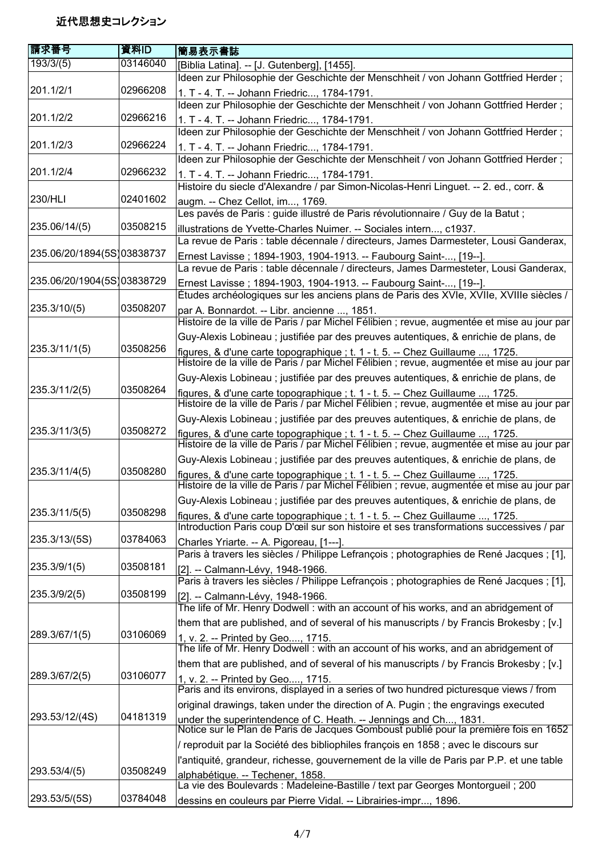| 請求番号                       | 資料ID     | 簡易表示書誌                                                                                                                                                                      |
|----------------------------|----------|-----------------------------------------------------------------------------------------------------------------------------------------------------------------------------|
| 193/3/(5)                  | 03146040 | [Biblia Latina]. -- [J. Gutenberg], [1455].                                                                                                                                 |
|                            |          | Ideen zur Philosophie der Geschichte der Menschheit / von Johann Gottfried Herder;                                                                                          |
| 201.1/2/1                  | 02966208 | 1. T - 4. T. -- Johann Friedric, 1784-1791.                                                                                                                                 |
|                            |          | Ideen zur Philosophie der Geschichte der Menschheit / von Johann Gottfried Herder;                                                                                          |
| 201.1/2/2                  | 02966216 | 1. T - 4. T. -- Johann Friedric, 1784-1791.                                                                                                                                 |
|                            |          | Ideen zur Philosophie der Geschichte der Menschheit / von Johann Gottfried Herder;                                                                                          |
| 201.1/2/3                  | 02966224 | 1. T - 4. T. -- Johann Friedric, 1784-1791.                                                                                                                                 |
|                            |          | Ideen zur Philosophie der Geschichte der Menschheit / von Johann Gottfried Herder;                                                                                          |
| 201.1/2/4                  | 02966232 | 1. T - 4. T. -- Johann Friedric, 1784-1791.                                                                                                                                 |
|                            |          | Histoire du siecle d'Alexandre / par Simon-Nicolas-Henri Linguet. -- 2. ed., corr. &                                                                                        |
| <b>230/HLI</b>             | 02401602 | augm. -- Chez Cellot, im, 1769.                                                                                                                                             |
|                            |          | Les pavés de Paris : guide illustré de Paris révolutionnaire / Guy de la Batut ;                                                                                            |
| 235.06/14/(5)              | 03508215 | illustrations de Yvette-Charles Nuimer. -- Sociales intern, c1937.                                                                                                          |
|                            |          | La revue de Paris : table décennale / directeurs, James Darmesteter, Lousi Ganderax,                                                                                        |
| 235.06/20/1894(5S)03838737 |          | Ernest Lavisse; 1894-1903, 1904-1913. -- Faubourg Saint-, [19--].                                                                                                           |
|                            |          | La revue de Paris : table décennale / directeurs, James Darmesteter, Lousi Ganderax,                                                                                        |
| 235.06/20/1904(5S)03838729 |          | Ernest Lavisse; 1894-1903, 1904-1913. -- Faubourg Saint-, [19--].                                                                                                           |
|                            |          | Études archéologiques sur les anciens plans de Paris des XVIe, XVIIe, XVIIIe siècles /                                                                                      |
| 235.3/10/(5)               | 03508207 | par A. Bonnardot. -- Libr. ancienne , 1851.                                                                                                                                 |
|                            |          | Histoire de la ville de Paris / par Michel Félibien ; revue, augmentée et mise au jour par                                                                                  |
|                            |          | Guy-Alexis Lobineau; justifiée par des preuves autentiques, & enrichie de plans, de                                                                                         |
| 235.3/11/1(5)              | 03508256 |                                                                                                                                                                             |
|                            |          | figures, & d'une carte topographique ; t. 1 - t. 5. -- Chez Guillaume , 1725.<br>Histoire de la ville de Paris / par Michel Félibien ; revue, augmentée et mise au jour par |
|                            |          | Guy-Alexis Lobineau ; justifiée par des preuves autentiques, & enrichie de plans, de                                                                                        |
| 235.3/11/2(5)              | 03508264 | figures, & d'une carte topographique ; t. 1 - t. 5. -- Chez Guillaume , 1725.                                                                                               |
|                            |          | Histoire de la ville de Paris / par Michel Félibien ; revue, augmentée et mise au jour par                                                                                  |
|                            |          | Guy-Alexis Lobineau ; justifiée par des preuves autentiques, & enrichie de plans, de                                                                                        |
| 235.3/11/3(5)              | 03508272 |                                                                                                                                                                             |
|                            |          | figures, & d'une carte topographique ; t. 1 - t. 5. -- Chez Guillaume , 1725.<br>Histoire de la ville de Paris / par Michel Félibien ; revue, augmentée et mise au jour par |
|                            |          | Guy-Alexis Lobineau ; justifiée par des preuves autentiques, & enrichie de plans, de                                                                                        |
| 235.3/11/4(5)              | 03508280 | figures, & d'une carte topographique ; t. 1 - t. 5. -- Chez Guillaume , 1725.                                                                                               |
|                            |          | Histoire de la ville de Paris / par Michel Félibien ; revue, augmentée et mise au jour par                                                                                  |
|                            |          | Guy-Alexis Lobineau ; justifiée par des preuves autentiques, & enrichie de plans, de                                                                                        |
| 235.3/11/5(5)              | 03508298 | figures, & d'une carte topographique ; t. 1 - t. 5. -- Chez Guillaume , 1725.                                                                                               |
|                            |          | Introduction Paris coup D'œil sur son histoire et ses transformations successives / par                                                                                     |
| 235.3/13/(5S)              | 03784063 | Charles Yriarte. -- A. Pigoreau, [1---].                                                                                                                                    |
|                            |          | Paris à travers les siècles / Philippe Lefrançois ; photographies de René Jacques ; [1],                                                                                    |
| 235.3/9/1(5)               | 03508181 | [2]. -- Calmann-Lévy, 1948-1966.                                                                                                                                            |
|                            |          | Paris à travers les siècles / Philippe Lefrançois ; photographies de René Jacques ; [1],                                                                                    |
| 235.3/9/2(5)               | 03508199 | [2]. -- Calmann-Lévy, 1948-1966.                                                                                                                                            |
|                            |          | The life of Mr. Henry Dodwell: with an account of his works, and an abridgement of                                                                                          |
|                            |          | them that are published, and of several of his manuscripts / by Francis Brokesby ; [v.]                                                                                     |
| 289.3/67/1(5)              | 03106069 | 1, v. 2. -- Printed by Geo, 1715.<br>The life of Mr. Henry Dodwell: with an account of his works, and an abridgement of                                                     |
|                            |          |                                                                                                                                                                             |
|                            |          | them that are published, and of several of his manuscripts / by Francis Brokesby ; [v.]                                                                                     |
| 289.3/67/2(5)              | 03106077 | 1, v. 2. -- Printed by Geo, 1715.<br>Paris and its environs, displayed in a series of two hundred picturesque views / from                                                  |
|                            |          |                                                                                                                                                                             |
| 293.53/12/(4S)             | 04181319 | original drawings, taken under the direction of A. Pugin; the engravings executed                                                                                           |
|                            |          | under the superintendence of C. Heath. -- Jennings and Ch, 1831.<br>Notice sur le Plan de Paris de Jacques Gomboust publié pour la première fois en 1652                    |
|                            |          | / reproduit par la Société des bibliophiles françois en 1858 ; avec le discours sur                                                                                         |
|                            |          |                                                                                                                                                                             |
| 293.53/4/(5)               | 03508249 | l'antiquité, grandeur, richesse, gouvernement de la ville de Paris par P.P. et une table                                                                                    |
|                            |          | alphabétique. -- Techener. 1858.<br>La vie des Boulevards : Madeleine-Bastille / text par Georges Montorgueil ; 200                                                         |
| 293.53/5/(5S)              | 03784048 | dessins en couleurs par Pierre Vidal. -- Librairies-impr, 1896.                                                                                                             |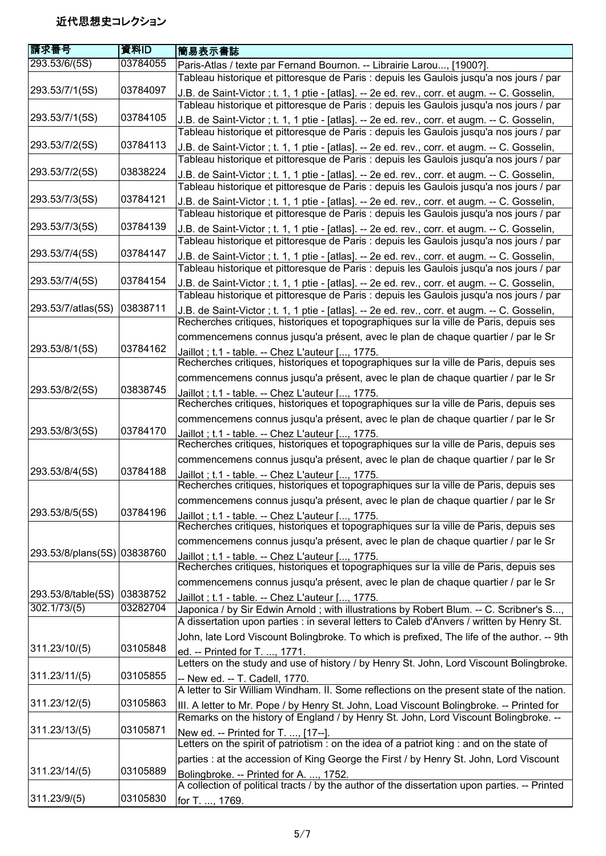| 請求番号                        | 資料ID     | 簡易表示書誌                                                                                                                                                                                  |
|-----------------------------|----------|-----------------------------------------------------------------------------------------------------------------------------------------------------------------------------------------|
| 293.53/6/(5S)               | 03784055 | Paris-Atlas / texte par Fernand Bournon. -- Librairie Larou, [1900?].                                                                                                                   |
|                             |          | Tableau historique et pittoresque de Paris : depuis les Gaulois jusqu'a nos jours / par                                                                                                 |
| 293.53/7/1(5S)              | 03784097 | J.B. de Saint-Victor; t. 1, 1 ptie - [atlas]. -- 2e ed. rev., corr. et augm. -- C. Gosselin,<br>Tableau historique et pittoresque de Paris : depuis les Gaulois jusqu'a nos jours / par |
| 293.53/7/1(5S)              | 03784105 | J.B. de Saint-Victor; t. 1, 1 ptie - [atlas]. -- 2e ed. rev., corr. et augm. -- C. Gosselin,                                                                                            |
|                             |          | Tableau historique et pittoresque de Paris : depuis les Gaulois jusqu'a nos jours / par                                                                                                 |
| 293.53/7/2(5S)              | 03784113 | J.B. de Saint-Victor; t. 1, 1 ptie - [atlas]. -- 2e ed. rev., corr. et augm. -- C. Gosselin,<br>Tableau historique et pittoresque de Paris : depuis les Gaulois jusqu'a nos jours / par |
| 293.53/7/2(5S)              | 03838224 | J.B. de Saint-Victor ; t. 1, 1 ptie - [atlas]. -- 2e ed. rev., corr. et augm. -- C. Gosselin,                                                                                           |
|                             |          | Tableau historique et pittoresque de Paris : depuis les Gaulois jusqu'a nos jours / par                                                                                                 |
| 293.53/7/3(5S)              | 03784121 | J.B. de Saint-Victor; t. 1, 1 ptie - [atlas]. -- 2e ed. rev., corr. et augm. -- C. Gosselin,<br>Tableau historique et pittoresque de Paris : depuis les Gaulois jusqu'a nos jours / par |
| 293.53/7/3(5S)              | 03784139 | J.B. de Saint-Victor ; t. 1, 1 ptie - [atlas]. -- 2e ed. rev., corr. et augm. -- C. Gosselin,                                                                                           |
|                             |          | Tableau historique et pittoresque de Paris : depuis les Gaulois jusqu'a nos jours / par                                                                                                 |
| 293.53/7/4(5S)              | 03784147 | J.B. de Saint-Victor; t. 1, 1 ptie - [atlas]. -- 2e ed. rev., corr. et augm. -- C. Gosselin,<br>Tableau historique et pittoresque de Paris : depuis les Gaulois jusqu'a nos jours / par |
| 293.53/7/4(5S)              | 03784154 | J.B. de Saint-Victor; t. 1, 1 ptie - [atlas]. -- 2e ed. rev., corr. et augm. -- C. Gosselin,                                                                                            |
|                             |          | Tableau historique et pittoresque de Paris : depuis les Gaulois jusqu'a nos jours / par                                                                                                 |
| 293.53/7/atlas(5S)          | 03838711 | J.B. de Saint-Victor; t. 1, 1 ptie - [atlas]. -- 2e ed. rev., corr. et augm. -- C. Gosselin,<br>Recherches critiques, historiques et topographiques sur la ville de Paris, depuis ses   |
|                             |          | commencemens connus jusqu'a présent, avec le plan de chaque quartier / par le Sr                                                                                                        |
| 293.53/8/1(5S)              | 03784162 | Jaillot; t.1 - table. -- Chez L'auteur [, 1775.                                                                                                                                         |
|                             |          | Recherches critiques, historiques et topographiques sur la ville de Paris, depuis ses                                                                                                   |
|                             |          | commencemens connus jusqu'a présent, avec le plan de chaque quartier / par le Sr                                                                                                        |
| 293.53/8/2(5S)              | 03838745 | Jaillot; t.1 - table. -- Chez L'auteur [, 1775.                                                                                                                                         |
|                             |          | Recherches critiques, historiques et topographiques sur la ville de Paris, depuis ses                                                                                                   |
|                             |          | commencemens connus jusqu'a présent, avec le plan de chaque quartier / par le Sr                                                                                                        |
| 293.53/8/3(5S)              | 03784170 | Jaillot; t.1 - table. -- Chez L'auteur [, 1775.<br>Recherches critiques, historiques et topographiques sur la ville de Paris, depuis ses                                                |
|                             |          | commencemens connus jusqu'a présent, avec le plan de chaque quartier / par le Sr                                                                                                        |
| 293.53/8/4(5S)              | 03784188 | Jaillot; t.1 - table. -- Chez L'auteur [, 1775.<br>Recherches critiques, historiques et topographiques sur la ville de Paris, depuis ses                                                |
|                             |          | commencemens connus jusqu'a présent, avec le plan de chaque quartier / par le Sr                                                                                                        |
| 293.53/8/5(5S)              | 03784196 | Jaillot; t.1 - table. -- Chez L'auteur [, 1775.<br>Recherches critiques, historiques et topographiques sur la ville de Paris, depuis ses                                                |
|                             |          | commencemens connus jusqu'a présent, avec le plan de chaque quartier / par le Sr                                                                                                        |
| 293.53/8/plans(5S) 03838760 |          | Jaillot; t.1 - table. -- Chez L'auteur [, 1775.<br>Recherches critiques, historiques et topographiques sur la ville de Paris, depuis ses                                                |
|                             |          | commencemens connus jusqu'a présent, avec le plan de chaque quartier / par le Sr                                                                                                        |
| 293.53/8/table(5S)          | 03838752 | Jaillot; t.1 - table. -- Chez L'auteur [, 1775.                                                                                                                                         |
| 302.1/73/(5)                | 03282704 | Japonica / by Sir Edwin Arnold ; with illustrations by Robert Blum. -- C. Scribner's S,                                                                                                 |
|                             |          | A dissertation upon parties : in several letters to Caleb d'Anvers / written by Henry St.                                                                                               |
| 311.23/10/(5)               | 03105848 | John, late Lord Viscount Bolingbroke. To which is prefixed, The life of the author. -- 9th                                                                                              |
|                             |          | ed. -- Printed for T. , 1771.<br>Letters on the study and use of history / by Henry St. John, Lord Viscount Bolingbroke.                                                                |
| 311.23/11/(5)               | 03105855 | -- New ed. -- T. Cadell, 1770.                                                                                                                                                          |
|                             |          | A letter to Sir William Windham. II. Some reflections on the present state of the nation.                                                                                               |
| 311.23/12/(5)               | 03105863 | III. A letter to Mr. Pope / by Henry St. John, Load Viscount Bolingbroke. -- Printed for<br>Remarks on the history of England / by Henry St. John, Lord Viscount Bolingbroke. --        |
| 311.23/13/(5)               | 03105871 | New ed. -- Printed for T. , [17--].                                                                                                                                                     |
|                             |          | Letters on the spirit of patriotism : on the idea of a patriot king : and on the state of                                                                                               |
|                             | 03105889 | parties : at the accession of King George the First / by Henry St. John, Lord Viscount                                                                                                  |
| 311.23/14/(5)               |          | Bolingbroke. -- Printed for A. , 1752.<br>A collection of political tracts / by the author of the dissertation upon parties. -- Printed                                                 |
| 311.23/9/(5)                | 03105830 | for T. , 1769.                                                                                                                                                                          |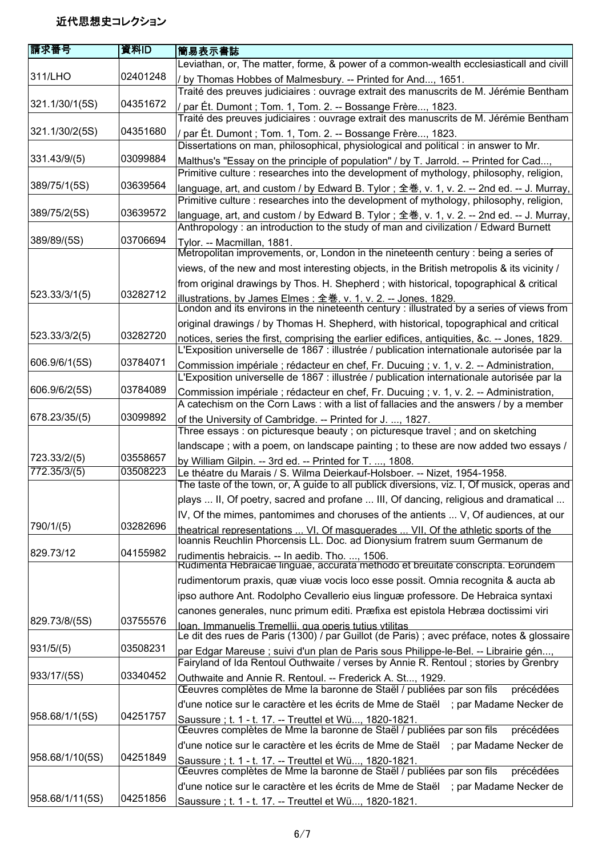| 請求番号            | 資料ID     | 簡易表示書誌                                                                                                                                                       |
|-----------------|----------|--------------------------------------------------------------------------------------------------------------------------------------------------------------|
|                 |          | Leviathan, or, The matter, forme, & power of a common-wealth ecclesiasticall and civill                                                                      |
| 311/LHO         | 02401248 | / by Thomas Hobbes of Malmesbury. -- Printed for And, 1651.                                                                                                  |
|                 |          | Traité des preuves judiciaires : ouvrage extrait des manuscrits de M. Jérémie Bentham                                                                        |
| 321.1/30/1(5S)  | 04351672 | / par Ét. Dumont ; Tom. 1, Tom. 2. -- Bossange Frère, 1823.                                                                                                  |
|                 |          | Traité des preuves judiciaires : ouvrage extrait des manuscrits de M. Jérémie Bentham                                                                        |
| 321.1/30/2(5S)  | 04351680 | / par Ét. Dumont ; Tom. 1, Tom. 2. -- Bossange Frère, 1823.                                                                                                  |
|                 |          | Dissertations on man, philosophical, physiological and political : in answer to Mr.                                                                          |
| 331.43/9/(5)    | 03099884 | Malthus's "Essay on the principle of population" / by T. Jarrold. -- Printed for Cad,                                                                        |
|                 |          | Primitive culture : researches into the development of mythology, philosophy, religion,                                                                      |
| 389/75/1(5S)    | 03639564 | language, art, and custom / by Edward B. Tylor; 全巻, v. 1, v. 2. -- 2nd ed. -- J. Murray,                                                                     |
|                 |          | Primitive culture : researches into the development of mythology, philosophy, religion,                                                                      |
| 389/75/2(5S)    | 03639572 | language, art, and custom / by Edward B. Tylor; 全巻, v. 1, v. 2. -- 2nd ed. -- J. Murray,                                                                     |
|                 |          | Anthropology: an introduction to the study of man and civilization / Edward Burnett                                                                          |
| 389/89/(5S)     | 03706694 | Tylor. -- Macmillan, 1881.                                                                                                                                   |
|                 |          | Metropolitan improvements, or, London in the nineteenth century : being a series of                                                                          |
|                 |          | views, of the new and most interesting objects, in the British metropolis & its vicinity /                                                                   |
|                 |          | from original drawings by Thos. H. Shepherd; with historical, topographical & critical                                                                       |
| 523.33/3/1(5)   | 03282712 |                                                                                                                                                              |
|                 |          | illustrations, by James Elmes : 全巻, v. 1, v. 2. -- Jones, 1829.<br>London and its environs in the nineteenth century : illustrated by a series of views from |
|                 |          | original drawings / by Thomas H. Shepherd, with historical, topographical and critical                                                                       |
| 523.33/3/2(5)   | 03282720 | notices, series the first, comprising the earlier edifices, antiquities, &c. -- Jones, 1829.                                                                 |
|                 |          | L'Exposition universelle de 1867 : illustrée / publication internationale autorisée par la                                                                   |
| 606.9/6/1(5S)   | 03784071 | Commission impériale ; rédacteur en chef, Fr. Ducuing ; v. 1, v. 2. -- Administration,                                                                       |
|                 |          | L'Exposition universelle de 1867 : illustrée / publication internationale autorisée par la                                                                   |
| 606.9/6/2(5S)   | 03784089 | Commission impériale ; rédacteur en chef, Fr. Ducuing ; v. 1, v. 2. -- Administration,                                                                       |
|                 |          | A catechism on the Corn Laws: with a list of fallacies and the answers / by a member                                                                         |
| 678.23/35/(5)   | 03099892 | of the University of Cambridge. -- Printed for J. , 1827.                                                                                                    |
|                 |          | Three essays: on picturesque beauty; on picturesque travel; and on sketching                                                                                 |
|                 |          | landscape; with a poem, on landscape painting; to these are now added two essays /                                                                           |
| 723.33/2/(5)    | 03558657 | by William Gilpin. -- 3rd ed. -- Printed for T. , 1808.                                                                                                      |
| 772.35/3/(5)    | 03508223 | Le théatre du Marais / S. Wilma Deierkauf-Holsboer. -- Nizet, 1954-1958.                                                                                     |
|                 |          | The taste of the town, or, A guide to all publick diversions, viz. I, Of musick, operas and                                                                  |
|                 |          | plays  II, Of poetry, sacred and profane  III, Of dancing, religious and dramatical                                                                          |
|                 |          | IV, Of the mimes, pantomimes and choruses of the antients  V, Of audiences, at our                                                                           |
| 790/1/(5)       | 03282696 | theatrical representations  VI. Of masquerades  VII. Of the athletic sports of the                                                                           |
|                 |          | Ioannis Reuchlin Phorcensis LL. Doc. ad Dionysium fratrem suum Germanum de                                                                                   |
| 829.73/12       | 04155982 | rudimentis hebraicis. -- In aedib. Tho. , 1506.<br>Rudimenta Hebraicae linguae, accurata methodo et breuitate conscripta. Eorundem                           |
|                 |          | rudimentorum praxis, quæ viuæ vocis loco esse possit. Omnia recognita & aucta ab                                                                             |
|                 |          |                                                                                                                                                              |
|                 |          | ipso authore Ant. Rodolpho Cevallerio eius linguæ professore. De Hebraica syntaxi                                                                            |
| 829.73/8/(5S)   | 03755576 | canones generales, nunc primum editi. Præfixa est epistola Hebræa doctissimi viri                                                                            |
|                 |          | Ioan. Immanuelis Tremellii. qua operis tutius vtilitas<br>Le dit des rues de Paris (1300) / par Guillot (de Paris) ; avec préface, notes & glossaire         |
| 931/5/(5)       | 03508231 | par Edgar Mareuse ; suivi d'un plan de Paris sous Philippe-le-Bel. -- Librairie gén,                                                                         |
|                 |          | Fairyland of Ida Rentoul Outhwaite / verses by Annie R. Rentoul; stories by Grenbry                                                                          |
| 933/17/(5S)     | 03340452 | Outhwaite and Annie R. Rentoul. -- Frederick A. St, 1929.                                                                                                    |
|                 |          | Œeuvres complètes de Mme la baronne de Staël / publiées par son fils<br>précédées                                                                            |
|                 |          | d'une notice sur le caractère et les écrits de Mme de Staël ; par Madame Necker de                                                                           |
| 958.68/1/1(5S)  | 04251757 | Saussure ; t. 1 - t. 17. -- Treuttel et Wü, 1820-1821.                                                                                                       |
|                 |          | Œeuvres complètes de Mme la baronne de Staël / publiées par son fils<br>précédées                                                                            |
|                 |          | d'une notice sur le caractère et les écrits de Mme de Staël ; par Madame Necker de                                                                           |
| 958.68/1/10(5S) | 04251849 | Saussure; t. 1 - t. 17. -- Treuttel et Wü, 1820-1821.                                                                                                        |
|                 |          | Œeuvres complètes de Mme la baronne de Staël / publiées par son fils<br>précédées                                                                            |
|                 |          | d'une notice sur le caractère et les écrits de Mme de Staël ; par Madame Necker de                                                                           |
| 958.68/1/11(5S) | 04251856 | Saussure ; t. 1 - t. 17. -- Treuttel et Wü, 1820-1821.                                                                                                       |